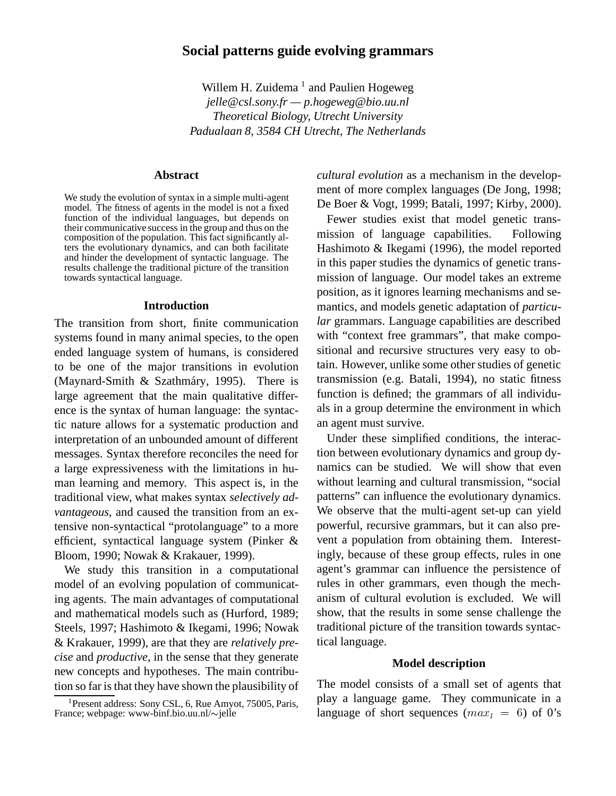# **Social patterns guide evolving grammars**

Willem H. Zuidema<sup>1</sup> and Paulien Hogeweg *jelle@csl.sony.fr — p.hogeweg@bio.uu.nl Theoretical Biology, Utrecht University Padualaan 8, 3584 CH Utrecht, The Netherlands*

### **Abstract**

We study the evolution of syntax in a simple multi-agent model. The fitness of agents in the model is not a fixed function of the individual languages, but depends on their communicative success in the group and thus on the composition of the population. This fact significantly alters the evolutionary dynamics, and can both facilitate and hinder the development of syntactic language. The results challenge the traditional picture of the transition towards syntactical language.

### **Introduction**

The transition from short, finite communication systems found in many animal species, to the open ended language system of humans, is considered to be one of the major transitions in evolution (Maynard-Smith & Szathmáry, 1995). There is large agreement that the main qualitative difference is the syntax of human language: the syntactic nature allows for a systematic production and interpretation of an unbounded amount of different messages. Syntax therefore reconciles the need for a large expressiveness with the limitations in human learning and memory. This aspect is, in the traditional view, what makes syntax *selectively advantageous*, and caused the transition from an extensive non-syntactical "protolanguage" to a more efficient, syntactical language system (Pinker & Bloom, 1990; Nowak & Krakauer, 1999).

We study this transition in a computational model of an evolving population of communicating agents. The main advantages of computational and mathematical models such as (Hurford, 1989; Steels, 1997; Hashimoto & Ikegami, 1996; Nowak & Krakauer, 1999), are that they are *relatively precise* and *productive*, in the sense that they generate new concepts and hypotheses. The main contribution so far is that they have shown the plausibility of *cultural evolution* as a mechanism in the development of more complex languages (De Jong, 1998; De Boer & Vogt, 1999; Batali, 1997; Kirby, 2000).

Fewer studies exist that model genetic transmission of language capabilities. Following Hashimoto & Ikegami (1996), the model reported in this paper studies the dynamics of genetic transmission of language. Our model takes an extreme position, as it ignores learning mechanisms and semantics, and models genetic adaptation of *particular* grammars. Language capabilities are described with "context free grammars", that make compositional and recursive structures very easy to obtain. However, unlike some other studies of genetic transmission (e.g. Batali, 1994), no static fitness function is defined; the grammars of all individuals in a group determine the environment in which an agent must survive.

Under these simplified conditions, the interaction between evolutionary dynamics and group dynamics can be studied. We will show that even without learning and cultural transmission, "social patterns" can influence the evolutionary dynamics. We observe that the multi-agent set-up can yield powerful, recursive grammars, but it can also prevent a population from obtaining them. Interestingly, because of these group effects, rules in one agent's grammar can influence the persistence of rules in other grammars, even though the mechanism of cultural evolution is excluded. We will show, that the results in some sense challenge the traditional picture of the transition towards syntactical language.

## **Model description**

The model consists of a small set of agents that play a language game. They communicate in a language of short sequences  $(max_l = 6)$  of 0's

<sup>&</sup>lt;sup>1</sup>Present address: Sony CSL, 6, Rue Amyot, 75005, Paris, France; webpage: www-binf.bio.uu.nl/ $\sim$ jelle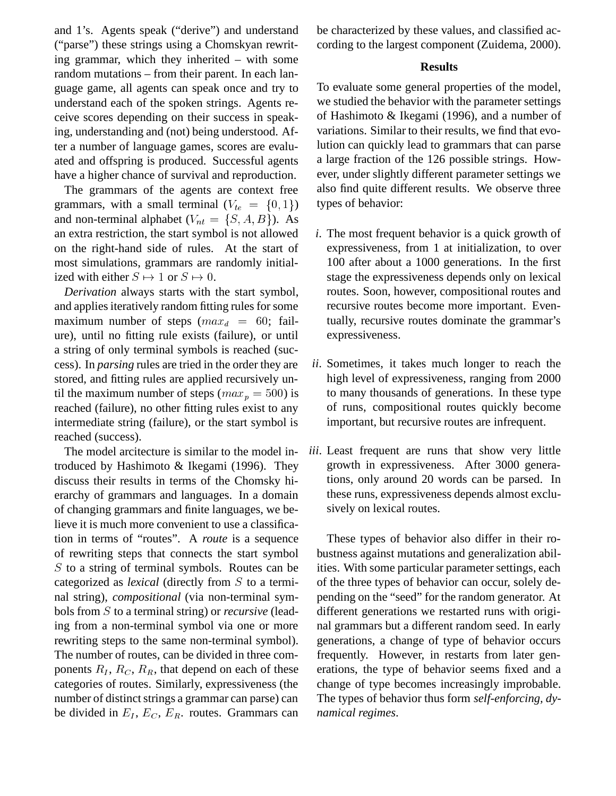and 1's. Agents speak ("derive") and understand ("parse") these strings using a Chomskyan rewriting grammar, which they inherited – with some random mutations – from their parent. In each language game, all agents can speak once and try to understand each of the spoken strings. Agents receive scores depending on their success in speaking, understanding and (not) being understood. After a number of language games, scores are evaluated and offspring is produced. Successful agents have a higher chance of survival and reproduction.

The grammars of the agents are context free grammars, with a small terminal  $(V_{te} = \{0, 1\})$ and non-terminal alphabet  $(V_{nt} = \{S, A, B\})$ . As an extra restriction, the start symbol is not allowed on the right-hand side of rules. At the start of most simulations, grammars are randomly initialized with either  $S \mapsto 1$  or  $S \mapsto 0$ .

*Derivation* always starts with the start symbol, and applies iteratively random fitting rules for some maximum number of steps  $(max_d = 60;$  failure), until no fitting rule exists (failure), or until a string of only terminal symbols is reached (success). In *parsing* rules are tried in the order they are stored, and fitting rules are applied recursively until the maximum number of steps ( $max_p = 500$ ) is reached (failure), no other fitting rules exist to any intermediate string (failure), or the start symbol is reached (success).

The model arcitecture is similar to the model introduced by Hashimoto & Ikegami (1996). They discuss their results in terms of the Chomsky hierarchy of grammars and languages. In a domain of changing grammars and finite languages, we believe it is much more convenient to use a classification in terms of "routes". A *route* is a sequence of rewriting steps that connects the start symbol S to a string of terminal symbols. Routes can be categorized as *lexical* (directly from S to a terminal string), *compositional* (via non-terminal symbols from S to a terminal string) or *recursive* (leading from a non-terminal symbol via one or more rewriting steps to the same non-terminal symbol). The number of routes, can be divided in three components  $R_I$ ,  $R_C$ ,  $R_R$ , that depend on each of these categories of routes. Similarly, expressiveness (the number of distinct strings a grammar can parse) can be divided in  $E_I$ ,  $E_C$ ,  $E_R$ . routes. Grammars can be characterized by these values, and classified according to the largest component (Zuidema, 2000).

# **Results**

To evaluate some general properties of the model, we studied the behavior with the parameter settings of Hashimoto & Ikegami (1996), and a number of variations. Similar to their results, we find that evolution can quickly lead to grammars that can parse a large fraction of the 126 possible strings. However, under slightly different parameter settings we also find quite different results. We observe three types of behavior:

- *i*. The most frequent behavior is a quick growth of expressiveness, from 1 at initialization, to over 100 after about a 1000 generations. In the first stage the expressiveness depends only on lexical routes. Soon, however, compositional routes and recursive routes become more important. Eventually, recursive routes dominate the grammar's expressiveness.
- *ii*. Sometimes, it takes much longer to reach the high level of expressiveness, ranging from 2000 to many thousands of generations. In these type of runs, compositional routes quickly become important, but recursive routes are infrequent.
- *iii*. Least frequent are runs that show very little growth in expressiveness. After 3000 generations, only around 20 words can be parsed. In these runs, expressiveness depends almost exclusively on lexical routes.

These types of behavior also differ in their robustness against mutations and generalization abilities. With some particular parameter settings, each of the three types of behavior can occur, solely depending on the "seed" for the random generator. At different generations we restarted runs with original grammars but a different random seed. In early generations, a change of type of behavior occurs frequently. However, in restarts from later generations, the type of behavior seems fixed and a change of type becomes increasingly improbable. The types of behavior thus form *self-enforcing, dynamical regimes*.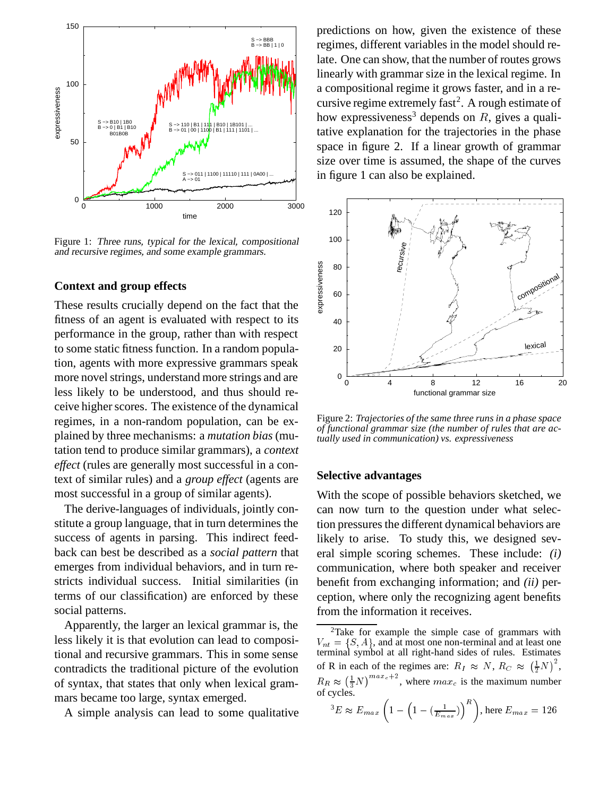

Figure 1: Three runs, typical for the lexical, compositional and recursive regimes, and some example grammars.

### **Context and group effects**

These results crucially depend on the fact that the fitness of an agent is evaluated with respect to its performance in the group, rather than with respect to some static fitness function. In a random population, agents with more expressive grammars speak more novel strings, understand more strings and are less likely to be understood, and thus should receive higher scores. The existence of the dynamical regimes, in a non-random population, can be explained by three mechanisms: a *mutation bias* (mutation tend to produce similar grammars), a *context effect* (rules are generally most successful in a context of similar rules) and a *group effect* (agents are most successful in a group of similar agents).

The derive-languages of individuals, jointly constitute a group language, that in turn determines the success of agents in parsing. This indirect feedback can best be described as a *social pattern* that emerges from individual behaviors, and in turn restricts individual success. Initial similarities (in terms of our classification) are enforced by these social patterns.

Apparently, the larger an lexical grammar is, the less likely it is that evolution can lead to compositional and recursive grammars. This in some sense contradicts the traditional picture of the evolution of syntax, that states that only when lexical grammars became too large, syntax emerged.

A simple analysis can lead to some qualitative

predictions on how, given the existence of these regimes, different variables in the model should relate. One can show, that the number of routes grows linearly with grammar size in the lexical regime. In a compositional regime it grows faster, and in a recursive regime extremely fast<sup>2</sup>. A rough estimate of how expressiveness<sup>3</sup> depends on  $R$ , gives a qualitative explanation for the trajectories in the phase space in figure 2. If a linear growth of grammar size over time is assumed, the shape of the curves in figure 1 can also be explained.



Figure 2: *Trajectories of the same three runs in a phase space of functional grammar size (the number of rules that are actually used in communication) vs. expressiveness*

# **Selective advantages**

With the scope of possible behaviors sketched, we can now turn to the question under what selection pressures the different dynamical behaviors are likely to arise. To study this, we designed several simple scoring schemes. These include: *(i)* communication, where both speaker and receiver benefit from exchanging information; and *(ii)* perception, where only the recognizing agent benefits from the information it receives.

$$
{}^{3}E \approx E_{max} \left( 1 - \left( 1 - \left( \frac{1}{E_{max}} \right) \right)^{R} \right), \text{here } E_{max} = 126
$$

<sup>&</sup>lt;sup>2</sup>Take for example the simple case of grammars with  $V_{nt} = \{S, A\}$ , and at most one non-terminal and at least one terminal symbol at all right-hand sides of rules. Estimates of R in each of the regimes are:  $R_I \approx N$ ,  $R_C \approx (\frac{1}{2}N)^2$ ,  $R_R \approx \left(\frac{1}{3}N\right)^{max_c+2}$ , where  $max_c$  is the maximum number of cycles.